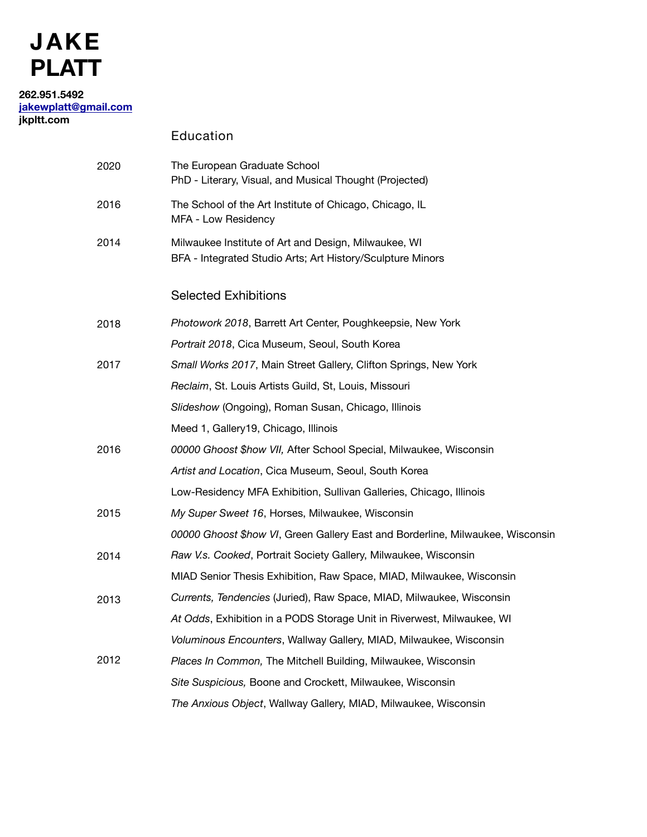# **JAKE PLATT**

### **262.951.5492 [jakewplatt@gmail.com](mailto:jakewplatt@gmail.com) jkpltt.com**

Education

| 2020 | The European Graduate School<br>PhD - Literary, Visual, and Musical Thought (Projected)                            |
|------|--------------------------------------------------------------------------------------------------------------------|
| 2016 | The School of the Art Institute of Chicago, Chicago, IL<br>MFA - Low Residency                                     |
| 2014 | Milwaukee Institute of Art and Design, Milwaukee, WI<br>BFA - Integrated Studio Arts; Art History/Sculpture Minors |
|      | <b>Selected Exhibitions</b>                                                                                        |
| 2018 | Photowork 2018, Barrett Art Center, Poughkeepsie, New York                                                         |
|      | Portrait 2018, Cica Museum, Seoul, South Korea                                                                     |
| 2017 | Small Works 2017, Main Street Gallery, Clifton Springs, New York                                                   |
|      | Reclaim, St. Louis Artists Guild, St, Louis, Missouri                                                              |
|      | Slideshow (Ongoing), Roman Susan, Chicago, Illinois                                                                |
|      | Meed 1, Gallery 19, Chicago, Illinois                                                                              |
| 2016 | 00000 Ghoost \$how VII, After School Special, Milwaukee, Wisconsin                                                 |
|      | Artist and Location, Cica Museum, Seoul, South Korea                                                               |
|      | Low-Residency MFA Exhibition, Sullivan Galleries, Chicago, Illinois                                                |
| 2015 | My Super Sweet 16, Horses, Milwaukee, Wisconsin                                                                    |
|      | 00000 Ghoost \$how VI, Green Gallery East and Borderline, Milwaukee, Wisconsin                                     |
| 2014 | Raw V.s. Cooked, Portrait Society Gallery, Milwaukee, Wisconsin                                                    |
|      | MIAD Senior Thesis Exhibition, Raw Space, MIAD, Milwaukee, Wisconsin                                               |
| 2013 | Currents, Tendencies (Juried), Raw Space, MIAD, Milwaukee, Wisconsin                                               |
|      | At Odds, Exhibition in a PODS Storage Unit in Riverwest, Milwaukee, WI                                             |
|      | Voluminous Encounters, Wallway Gallery, MIAD, Milwaukee, Wisconsin                                                 |
| 2012 | Places In Common, The Mitchell Building, Milwaukee, Wisconsin                                                      |
|      | Site Suspicious, Boone and Crockett, Milwaukee, Wisconsin                                                          |
|      | The Anxious Object, Wallway Gallery, MIAD, Milwaukee, Wisconsin                                                    |
|      |                                                                                                                    |